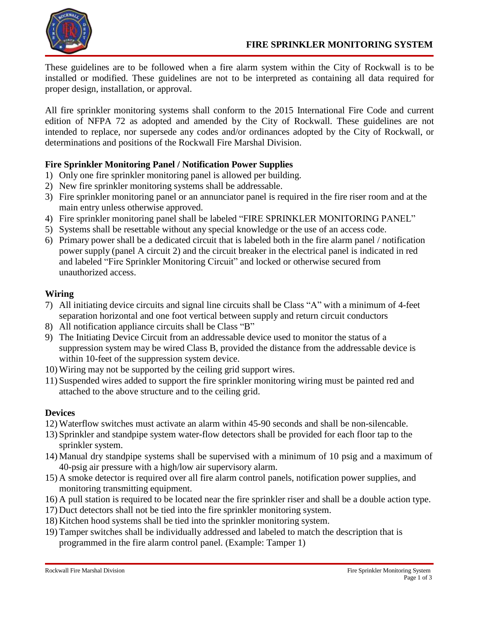

These guidelines are to be followed when a fire alarm system within the City of Rockwall is to be installed or modified. These guidelines are not to be interpreted as containing all data required for proper design, installation, or approval.

All fire sprinkler monitoring systems shall conform to the 2015 International Fire Code and current edition of NFPA 72 as adopted and amended by the City of Rockwall. These guidelines are not intended to replace, nor supersede any codes and/or ordinances adopted by the City of Rockwall, or determinations and positions of the Rockwall Fire Marshal Division.

# **Fire Sprinkler Monitoring Panel / Notification Power Supplies**

- 1) Only one fire sprinkler monitoring panel is allowed per building.
- 2) New fire sprinkler monitoring systems shall be addressable.
- 3) Fire sprinkler monitoring panel or an annunciator panel is required in the fire riser room and at the main entry unless otherwise approved.
- 4) Fire sprinkler monitoring panel shall be labeled "FIRE SPRINKLER MONITORING PANEL"
- 5) Systems shall be resettable without any special knowledge or the use of an access code.
- 6) Primary power shall be a dedicated circuit that is labeled both in the fire alarm panel / notification power supply (panel A circuit 2) and the circuit breaker in the electrical panel is indicated in red and labeled "Fire Sprinkler Monitoring Circuit" and locked or otherwise secured from unauthorized access.

### **Wiring**

- 7) All initiating device circuits and signal line circuits shall be Class "A" with a minimum of 4-feet separation horizontal and one foot vertical between supply and return circuit conductors
- 8) All notification appliance circuits shall be Class "B"
- 9) The Initiating Device Circuit from an addressable device used to monitor the status of a suppression system may be wired Class B, provided the distance from the addressable device is within 10-feet of the suppression system device.
- 10) Wiring may not be supported by the ceiling grid support wires.
- 11) Suspended wires added to support the fire sprinkler monitoring wiring must be painted red and attached to the above structure and to the ceiling grid.

# **Devices**

- 12) Waterflow switches must activate an alarm within 45-90 seconds and shall be non-silencable.
- 13) Sprinkler and standpipe system water-flow detectors shall be provided for each floor tap to the sprinkler system.
- 14) Manual dry standpipe systems shall be supervised with a minimum of 10 psig and a maximum of 40-psig air pressure with a high/low air supervisory alarm.
- 15) A smoke detector is required over all fire alarm control panels, notification power supplies, and monitoring transmitting equipment.
- 16) A pull station is required to be located near the fire sprinkler riser and shall be a double action type.
- 17) Duct detectors shall not be tied into the fire sprinkler monitoring system.
- 18) Kitchen hood systems shall be tied into the sprinkler monitoring system.
- 19) Tamper switches shall be individually addressed and labeled to match the description that is programmed in the fire alarm control panel. (Example: Tamper 1)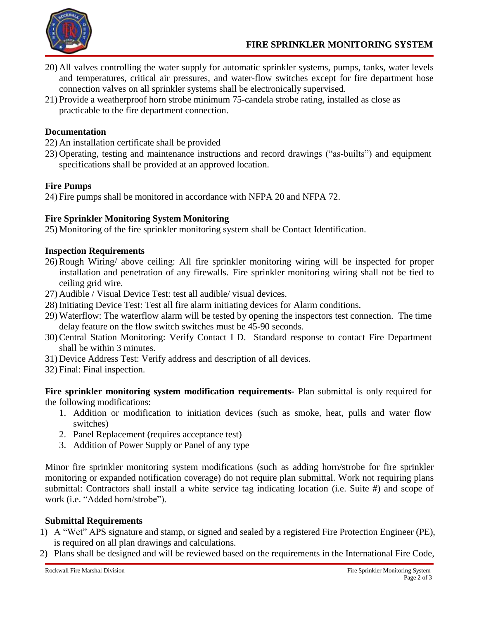- 20) All valves controlling the water supply for automatic sprinkler systems, pumps, tanks, water levels and temperatures, critical air pressures, and water-flow switches except for fire department hose connection valves on all sprinkler systems shall be electronically supervised.
- 21) Provide a weatherproof horn strobe minimum 75-candela strobe rating, installed as close as practicable to the fire department connection.

#### **Documentation**

- 22) An installation certificate shall be provided
- 23) Operating, testing and maintenance instructions and record drawings ("as-builts") and equipment specifications shall be provided at an approved location.

# **Fire Pumps**

24) Fire pumps shall be monitored in accordance with NFPA 20 and NFPA 72.

### **Fire Sprinkler Monitoring System Monitoring**

25) Monitoring of the fire sprinkler monitoring system shall be Contact Identification.

### **Inspection Requirements**

- 26) Rough Wiring/ above ceiling: All fire sprinkler monitoring wiring will be inspected for proper installation and penetration of any firewalls. Fire sprinkler monitoring wiring shall not be tied to ceiling grid wire.
- 27) Audible / Visual Device Test: test all audible/ visual devices.
- 28) Initiating Device Test: Test all fire alarm initiating devices for Alarm conditions.
- 29) Waterflow: The waterflow alarm will be tested by opening the inspectors test connection. The time delay feature on the flow switch switches must be 45-90 seconds.
- 30) Central Station Monitoring: Verify Contact I D. Standard response to contact Fire Department shall be within 3 minutes.
- 31) Device Address Test: Verify address and description of all devices.
- 32) Final: Final inspection.

**Fire sprinkler monitoring system modification requirements-** Plan submittal is only required for the following modifications:

- 1. Addition or modification to initiation devices (such as smoke, heat, pulls and water flow switches)
- 2. Panel Replacement (requires acceptance test)
- 3. Addition of Power Supply or Panel of any type

Minor fire sprinkler monitoring system modifications (such as adding horn/strobe for fire sprinkler monitoring or expanded notification coverage) do not require plan submittal. Work not requiring plans submittal: Contractors shall install a white service tag indicating location (i.e. Suite #) and scope of work (i.e. "Added horn/strobe").

#### **Submittal Requirements**

- 1) A "Wet" APS signature and stamp, or signed and sealed by a registered Fire Protection Engineer (PE), is required on all plan drawings and calculations.
- 2) Plans shall be designed and will be reviewed based on the requirements in the International Fire Code,